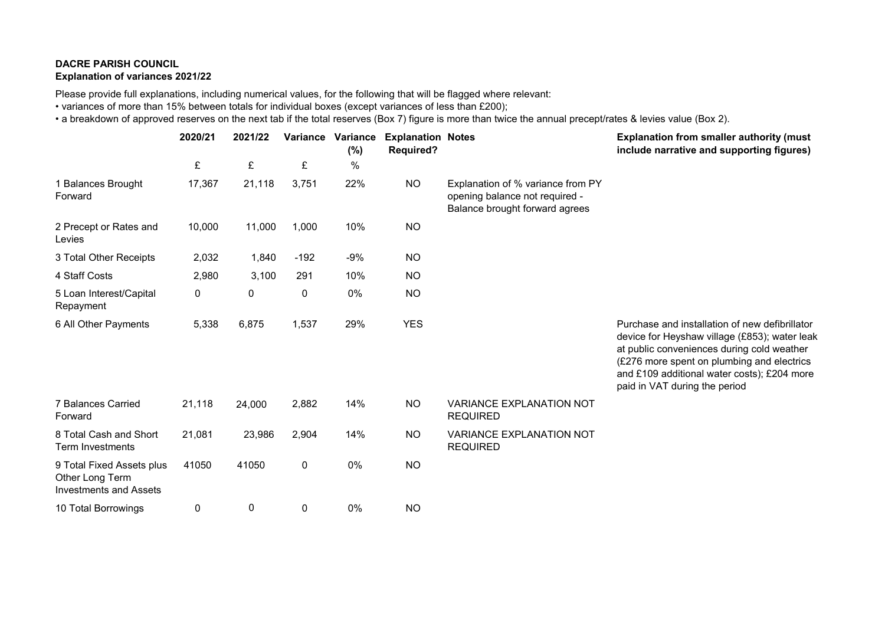## **DACRE PARISH COUNCIL Explanation of variances 2021/22**

Please provide full explanations, including numerical values, for the following that will be flagged where relevant:

• variances of more than 15% between totals for individual boxes (except variances of less than £200);

• a breakdown of approved reserves on the next tab if the total reserves (Box 7) figure is more than twice the annual precept/rates & levies value (Box 2).

|                                                                               | 2020/21 | 2021/22 |           | Variance Variance<br>$(\%)$ | <b>Explanation Notes</b><br><b>Required?</b> |                                                                                                       | <b>Explanation from smaller authority (must</b><br>include narrative and supporting figures)                                                                                                                                                                                |
|-------------------------------------------------------------------------------|---------|---------|-----------|-----------------------------|----------------------------------------------|-------------------------------------------------------------------------------------------------------|-----------------------------------------------------------------------------------------------------------------------------------------------------------------------------------------------------------------------------------------------------------------------------|
|                                                                               | £       | £       | £         | $\%$                        |                                              |                                                                                                       |                                                                                                                                                                                                                                                                             |
| 1 Balances Brought<br>Forward                                                 | 17,367  | 21,118  | 3,751     | 22%                         | <b>NO</b>                                    | Explanation of % variance from PY<br>opening balance not required -<br>Balance brought forward agrees |                                                                                                                                                                                                                                                                             |
| 2 Precept or Rates and<br>Levies                                              | 10,000  | 11,000  | 1,000     | 10%                         | <b>NO</b>                                    |                                                                                                       |                                                                                                                                                                                                                                                                             |
| 3 Total Other Receipts                                                        | 2,032   | 1,840   | $-192$    | $-9%$                       | <b>NO</b>                                    |                                                                                                       |                                                                                                                                                                                                                                                                             |
| 4 Staff Costs                                                                 | 2,980   | 3,100   | 291       | 10%                         | <b>NO</b>                                    |                                                                                                       |                                                                                                                                                                                                                                                                             |
| 5 Loan Interest/Capital<br>Repayment                                          | 0       | 0       | $\pmb{0}$ | 0%                          | <b>NO</b>                                    |                                                                                                       |                                                                                                                                                                                                                                                                             |
| 6 All Other Payments                                                          | 5,338   | 6,875   | 1,537     | 29%                         | <b>YES</b>                                   |                                                                                                       | Purchase and installation of new defibrillator<br>device for Heyshaw village (£853); water leak<br>at public conveniences during cold weather<br>(£276 more spent on plumbing and electrics<br>and £109 additional water costs); £204 more<br>paid in VAT during the period |
| 7 Balances Carried<br>Forward                                                 | 21,118  | 24,000  | 2,882     | 14%                         | <b>NO</b>                                    | <b>VARIANCE EXPLANATION NOT</b><br><b>REQUIRED</b>                                                    |                                                                                                                                                                                                                                                                             |
| 8 Total Cash and Short<br><b>Term Investments</b>                             | 21,081  | 23,986  | 2,904     | 14%                         | <b>NO</b>                                    | <b>VARIANCE EXPLANATION NOT</b><br><b>REQUIRED</b>                                                    |                                                                                                                                                                                                                                                                             |
| 9 Total Fixed Assets plus<br>Other Long Term<br><b>Investments and Assets</b> | 41050   | 41050   | 0         | 0%                          | <b>NO</b>                                    |                                                                                                       |                                                                                                                                                                                                                                                                             |
| 10 Total Borrowings                                                           | 0       | 0       | 0         | 0%                          | <b>NO</b>                                    |                                                                                                       |                                                                                                                                                                                                                                                                             |